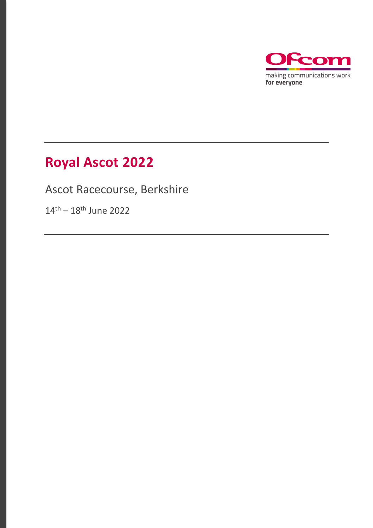

# **Royal Ascot 2022**

Ascot Racecourse, Berkshire

14<sup>th</sup> – 18<sup>th</sup> June 2022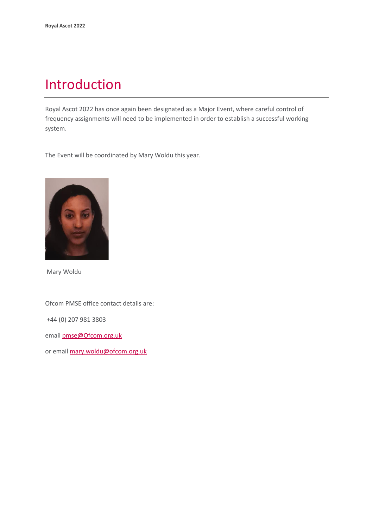### Introduction

Royal Ascot 2022 has once again been designated as a Major Event, where careful control of frequency assignments will need to be implemented in order to establish a successful working system.

The Event will be coordinated by Mary Woldu this year.



Mary Woldu

Ofcom PMSE office contact details are:

+44 (0) 207 981 3803

email [pmse@Ofcom.org.uk](mailto:pmse@arqiva.com)

or email [mary.woldu@ofcom.org.uk](mailto:mary.woldu@ofcom.org.uk)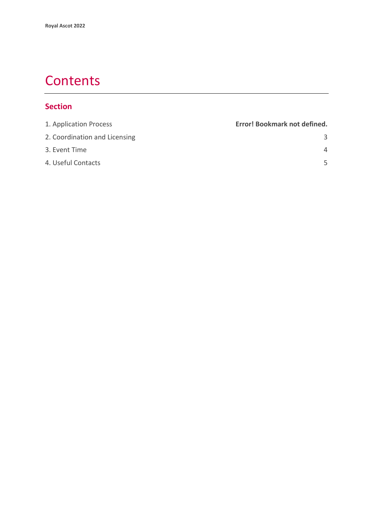### **Contents**

#### **Section**

| 1. Application Process        | Error! Bookmark not defined. |
|-------------------------------|------------------------------|
| 2. Coordination and Licensing | 3                            |
| 3. Event Time                 | $\overline{4}$               |
| 4. Useful Contacts            | 5                            |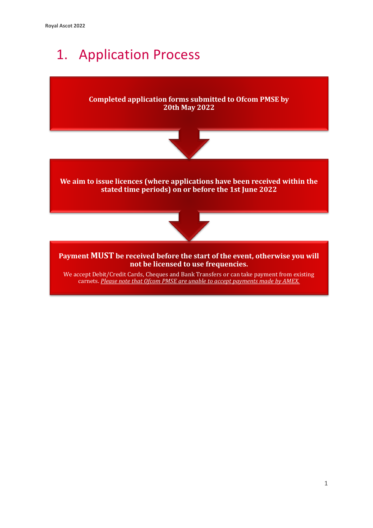# 1. Application Process



carnets. *Please note that Ofcom PMSE are unable to accept payments made by AMEX.*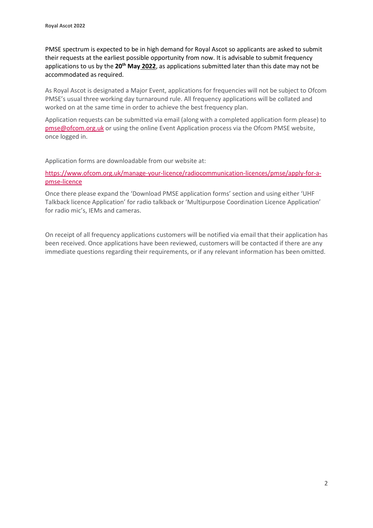PMSE spectrum is expected to be in high demand for Royal Ascot so applicants are asked to submit their requests at the earliest possible opportunity from now. It is advisable to submit frequency applications to us by the **20th May 2022**, as applications submitted later than this date may not be accommodated as required.

As Royal Ascot is designated a Major Event, applications for frequencies will not be subject to Ofcom PMSE's usual three working day turnaround rule. All frequency applications will be collated and worked on at the same time in order to achieve the best frequency plan.

Application requests can be submitted via email (along with a completed application form please) to [pmse@ofcom.org.uk](mailto:pmse@ofcom.org.uk) or using the online Event Application process via the Ofcom PMSE website, once logged in.

Application forms are downloadable from our website at:

[https://www.ofcom.org.uk/manage-your-licence/radiocommunication-licences/pmse/apply-for-a](https://www.ofcom.org.uk/manage-your-licence/radiocommunication-licences/pmse/apply-for-a-pmse-licence)[pmse-licence](https://www.ofcom.org.uk/manage-your-licence/radiocommunication-licences/pmse/apply-for-a-pmse-licence)

Once there please expand the 'Download PMSE application forms' section and using either 'UHF Talkback licence Application' for radio talkback or 'Multipurpose Coordination Licence Application' for radio mic's, IEMs and cameras.

On receipt of all frequency applications customers will be notified via email that their application has been received. Once applications have been reviewed, customers will be contacted if there are any immediate questions regarding their requirements, or if any relevant information has been omitted.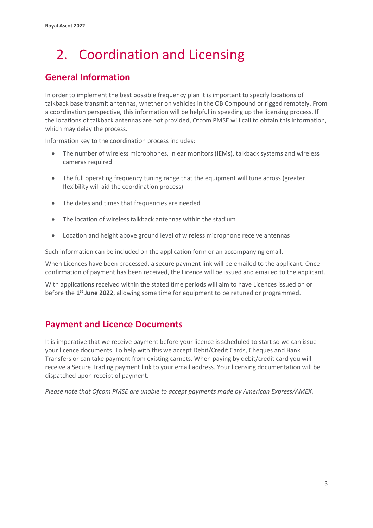# <span id="page-5-0"></span>2. Coordination and Licensing

#### **General Information**

In order to implement the best possible frequency plan it is important to specify locations of talkback base transmit antennas, whether on vehicles in the OB Compound or rigged remotely. From a coordination perspective, this information will be helpful in speeding up the licensing process. If the locations of talkback antennas are not provided, Ofcom PMSE will call to obtain this information, which may delay the process.

Information key to the coordination process includes:

- The number of wireless microphones, in ear monitors (IEMs), talkback systems and wireless cameras required
- The full operating frequency tuning range that the equipment will tune across (greater flexibility will aid the coordination process)
- The dates and times that frequencies are needed
- The location of wireless talkback antennas within the stadium
- Location and height above ground level of wireless microphone receive antennas

Such information can be included on the application form or an accompanying email.

When Licences have been processed, a secure payment link will be emailed to the applicant. Once confirmation of payment has been received, the Licence will be issued and emailed to the applicant.

With applications received within the stated time periods will aim to have Licences issued on or before the 1<sup>st</sup> June 2022, allowing some time for equipment to be retuned or programmed.

#### **Payment and Licence Documents**

It is imperative that we receive payment before your licence is scheduled to start so we can issue your licence documents. To help with this we accept Debit/Credit Cards, Cheques and Bank Transfers or can take payment from existing carnets. When paying by debit/credit card you will receive a Secure Trading payment link to your email address. Your licensing documentation will be dispatched upon receipt of payment.

*Please note that Ofcom PMSE are unable to accept payments made by American Express/AMEX.*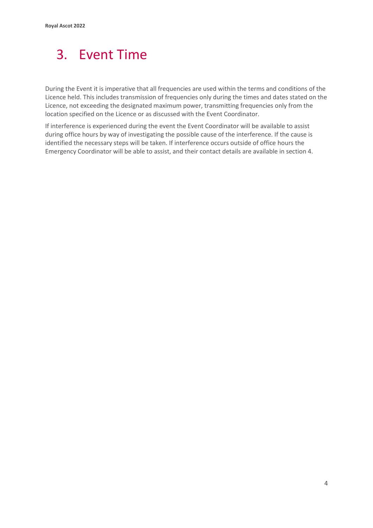### <span id="page-6-0"></span>3. Event Time

During the Event it is imperative that all frequencies are used within the terms and conditions of the Licence held. This includes transmission of frequencies only during the times and dates stated on the Licence, not exceeding the designated maximum power, transmitting frequencies only from the location specified on the Licence or as discussed with the Event Coordinator.

If interference is experienced during the event the Event Coordinator will be available to assist during office hours by way of investigating the possible cause of the interference. If the cause is identified the necessary steps will be taken. If interference occurs outside of office hours the Emergency Coordinator will be able to assist, and their contact details are available in section 4.